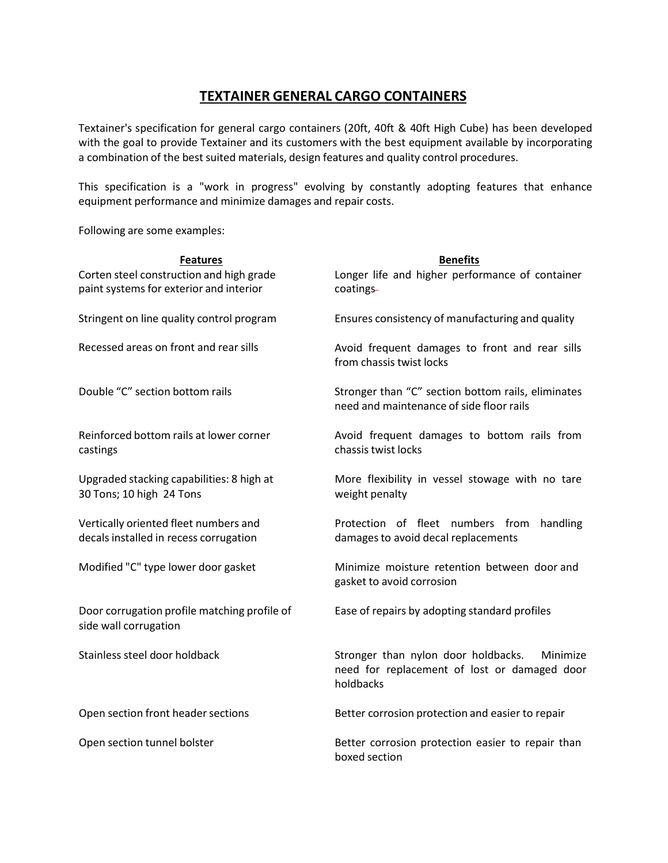## **TEXTAINER GENERAL CARGO CONTAINERS**

Textainer's specification for general cargo containers (20ft, 40ft & 40ft High Cube) has been developed with the goal to provide Textainer and its customers with the best equipment available by incorporating a combination of the best suited materials, design features and quality control procedures.

This specification is a "work in progress" evolving by constantly adopting features that enhance equipment performance and minimize damages and repair costs.

Following are some examples:

| <b>Features</b>                                                                     | <b>Benefits</b>                                                                                              |  |  |
|-------------------------------------------------------------------------------------|--------------------------------------------------------------------------------------------------------------|--|--|
| Corten steel construction and high grade<br>paint systems for exterior and interior | Longer life and higher performance of container<br>coatings-                                                 |  |  |
| Stringent on line quality control program                                           | Ensures consistency of manufacturing and quality                                                             |  |  |
| Recessed areas on front and rear sills                                              | Avoid frequent damages to front and rear sills<br>from chassis twist locks                                   |  |  |
| Double "C" section bottom rails                                                     | Stronger than "C" section bottom rails, eliminates<br>need and maintenance of side floor rails               |  |  |
| Reinforced bottom rails at lower corner<br>castings                                 | Avoid frequent damages to bottom rails from<br>chassis twist locks                                           |  |  |
| Upgraded stacking capabilities: 8 high at<br>30 Tons; 10 high 24 Tons               | More flexibility in vessel stowage with no tare<br>weight penalty                                            |  |  |
| Vertically oriented fleet numbers and<br>decals installed in recess corrugation     | Protection of fleet numbers from<br>handling<br>damages to avoid decal replacements                          |  |  |
| Modified "C" type lower door gasket                                                 | Minimize moisture retention between door and<br>gasket to avoid corrosion                                    |  |  |
| Door corrugation profile matching profile of<br>side wall corrugation               | Ease of repairs by adopting standard profiles                                                                |  |  |
| Stainless steel door holdback                                                       | Stronger than nylon door holdbacks.<br>Minimize<br>need for replacement of lost or damaged door<br>holdbacks |  |  |
| Open section front header sections                                                  | Better corrosion protection and easier to repair                                                             |  |  |
| Open section tunnel bolster                                                         | Better corrosion protection easier to repair than<br>boxed section                                           |  |  |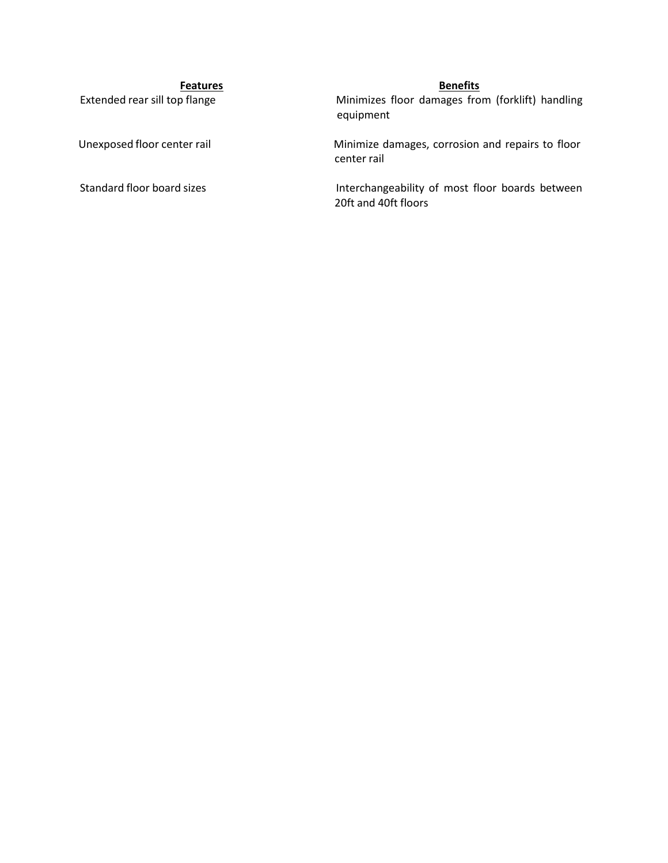**Features**<br>**Extended rear sill top flange Benefits**<br>**Minimizes floor damages fro** Minimizes floor damages from (forklift) handling equipment

Unexposed floor center rail **Minimize damages**, corrosion and repairs to floor center rail

Standard floor board sizes **Interchangeability of most floor boards between** 20ft and 40ft floors